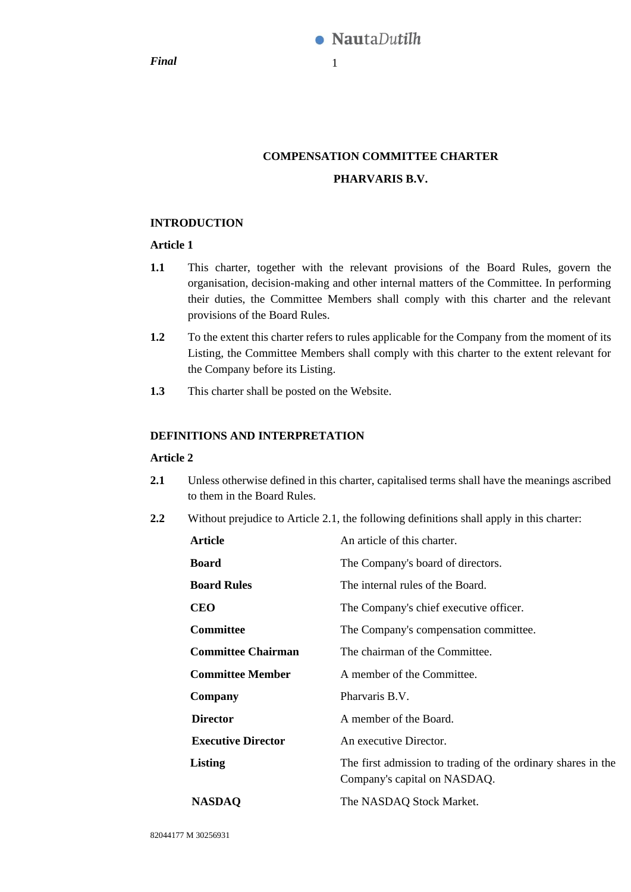*Final* 1

# **COMPENSATION COMMITTEE CHARTER PHARVARIS B.V.**

# **INTRODUCTION**

# **Article 1**

- **1.1** This charter, together with the relevant provisions of the Board Rules, govern the organisation, decision-making and other internal matters of the Committee. In performing their duties, the Committee Members shall comply with this charter and the relevant provisions of the Board Rules.
- **1.2** To the extent this charter refers to rules applicable for the Company from the moment of its Listing, the Committee Members shall comply with this charter to the extent relevant for the Company before its Listing.
- **1.3** This charter shall be posted on the Website.

# **DEFINITIONS AND INTERPRETATION**

# **Article 2**

- <span id="page-0-0"></span>**2.1** Unless otherwise defined in this charter, capitalised terms shall have the meanings ascribed to them in the Board Rules.
- **2.2** Without prejudice to Article [2.1,](#page-0-0) the following definitions shall apply in this charter:

| Article                   | An article of this charter.                                                                  |
|---------------------------|----------------------------------------------------------------------------------------------|
| <b>Board</b>              | The Company's board of directors.                                                            |
| <b>Board Rules</b>        | The internal rules of the Board.                                                             |
| <b>CEO</b>                | The Company's chief executive officer.                                                       |
| <b>Committee</b>          | The Company's compensation committee.                                                        |
| <b>Committee Chairman</b> | The chairman of the Committee.                                                               |
| <b>Committee Member</b>   | A member of the Committee.                                                                   |
| Company                   | Pharvaris B.V.                                                                               |
| <b>Director</b>           | A member of the Board.                                                                       |
| <b>Executive Director</b> | An executive Director.                                                                       |
| Listing                   | The first admission to trading of the ordinary shares in the<br>Company's capital on NASDAQ. |
| <b>NASDAQ</b>             | The NASDAQ Stock Market.                                                                     |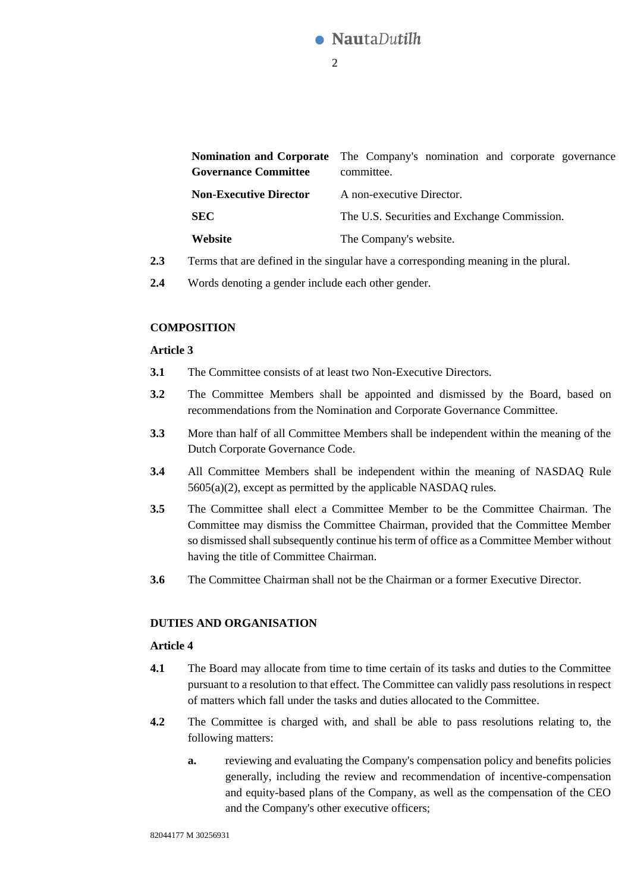

|                               | <b>Nomination and Corporate</b> The Company's nomination and corporate governance |
|-------------------------------|-----------------------------------------------------------------------------------|
| <b>Governance Committee</b>   | committee.                                                                        |
| <b>Non-Executive Director</b> | A non-executive Director.                                                         |
| <b>SEC</b>                    | The U.S. Securities and Exchange Commission.                                      |
| Website                       | The Company's website.                                                            |

- **2.3** Terms that are defined in the singular have a corresponding meaning in the plural.
- **2.4** Words denoting a gender include each other gender.

#### **COMPOSITION**

#### **Article 3**

- **3.1** The Committee consists of at least two Non-Executive Directors.
- **3.2** The Committee Members shall be appointed and dismissed by the Board, based on recommendations from the Nomination and Corporate Governance Committee.
- **3.3** More than half of all Committee Members shall be independent within the meaning of the Dutch Corporate Governance Code.
- **3.4** All Committee Members shall be independent within the meaning of NASDAQ Rule 5605(a)(2), except as permitted by the applicable NASDAQ rules.
- **3.5** The Committee shall elect a Committee Member to be the Committee Chairman. The Committee may dismiss the Committee Chairman, provided that the Committee Member so dismissed shall subsequently continue his term of office as a Committee Member without having the title of Committee Chairman.
- **3.6** The Committee Chairman shall not be the Chairman or a former Executive Director.

#### **DUTIES AND ORGANISATION**

### **Article 4**

- **4.1** The Board may allocate from time to time certain of its tasks and duties to the Committee pursuant to a resolution to that effect. The Committee can validly pass resolutions in respect of matters which fall under the tasks and duties allocated to the Committee.
- **4.2** The Committee is charged with, and shall be able to pass resolutions relating to, the following matters:
	- **a.** reviewing and evaluating the Company's compensation policy and benefits policies generally, including the review and recommendation of incentive-compensation and equity-based plans of the Company, as well as the compensation of the CEO and the Company's other executive officers;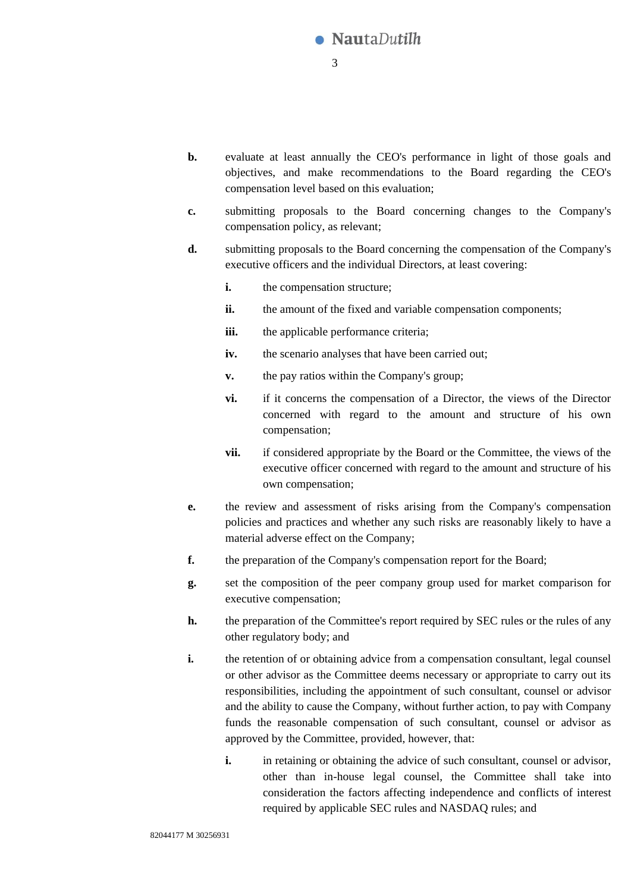

- **b.** evaluate at least annually the CEO's performance in light of those goals and objectives, and make recommendations to the Board regarding the CEO's compensation level based on this evaluation;
- **c.** submitting proposals to the Board concerning changes to the Company's compensation policy, as relevant;
- **d.** submitting proposals to the Board concerning the compensation of the Company's executive officers and the individual Directors, at least covering:
	- **i.** the compensation structure;
	- **ii.** the amount of the fixed and variable compensation components:
	- **iii.** the applicable performance criteria:
	- **iv.** the scenario analyses that have been carried out;
	- **v.** the pay ratios within the Company's group;
	- **vi.** if it concerns the compensation of a Director, the views of the Director concerned with regard to the amount and structure of his own compensation;
	- **vii.** if considered appropriate by the Board or the Committee, the views of the executive officer concerned with regard to the amount and structure of his own compensation;
- **e.** the review and assessment of risks arising from the Company's compensation policies and practices and whether any such risks are reasonably likely to have a material adverse effect on the Company;
- **f.** the preparation of the Company's compensation report for the Board;
- **g.** set the composition of the peer company group used for market comparison for executive compensation;
- **h.** the preparation of the Committee's report required by SEC rules or the rules of any other regulatory body; and
- **i.** the retention of or obtaining advice from a compensation consultant, legal counsel or other advisor as the Committee deems necessary or appropriate to carry out its responsibilities, including the appointment of such consultant, counsel or advisor and the ability to cause the Company, without further action, to pay with Company funds the reasonable compensation of such consultant, counsel or advisor as approved by the Committee, provided, however, that:
	- **i.** in retaining or obtaining the advice of such consultant, counsel or advisor, other than in-house legal counsel, the Committee shall take into consideration the factors affecting independence and conflicts of interest required by applicable SEC rules and NASDAQ rules; and